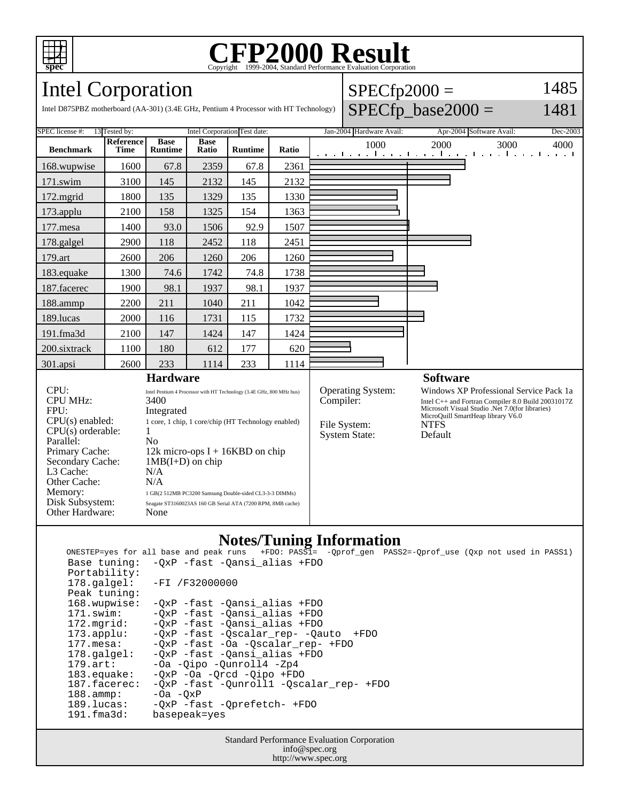

## Copyright ©1999-2004, Standard Performance Evaluation Corporation

 $SPECfp2000 =$ 

1485

Intel Corporation

|                                                                                                                                                                                                                                                                                                                                                                                                                                                                                                                                                                               |                               |                      |                 |       |                                                                                       |                                                   |                                                                                                                                                                                                                 |          | 1481                                                                                                                     |
|-------------------------------------------------------------------------------------------------------------------------------------------------------------------------------------------------------------------------------------------------------------------------------------------------------------------------------------------------------------------------------------------------------------------------------------------------------------------------------------------------------------------------------------------------------------------------------|-------------------------------|----------------------|-----------------|-------|---------------------------------------------------------------------------------------|---------------------------------------------------|-----------------------------------------------------------------------------------------------------------------------------------------------------------------------------------------------------------------|----------|--------------------------------------------------------------------------------------------------------------------------|
| Intel Corporation Test date:<br><b>SPEC</b> license #:<br>13 Tested by:                                                                                                                                                                                                                                                                                                                                                                                                                                                                                                       |                               |                      |                 |       |                                                                                       |                                                   |                                                                                                                                                                                                                 | Dec-2003 |                                                                                                                          |
| Reference<br><b>Time</b>                                                                                                                                                                                                                                                                                                                                                                                                                                                                                                                                                      | <b>Base</b><br><b>Runtime</b> | <b>Base</b><br>Ratio | <b>Runtime</b>  | Ratio | 1000                                                                                  |                                                   | 2000                                                                                                                                                                                                            | 3000     | 4000                                                                                                                     |
| 1600                                                                                                                                                                                                                                                                                                                                                                                                                                                                                                                                                                          | 67.8                          | 2359                 | 67.8            | 2361  |                                                                                       |                                                   |                                                                                                                                                                                                                 |          |                                                                                                                          |
| 3100                                                                                                                                                                                                                                                                                                                                                                                                                                                                                                                                                                          | 145                           | 2132                 | 145             | 2132  |                                                                                       |                                                   |                                                                                                                                                                                                                 |          |                                                                                                                          |
| 1800                                                                                                                                                                                                                                                                                                                                                                                                                                                                                                                                                                          | 135                           | 1329                 | 135             | 1330  |                                                                                       |                                                   |                                                                                                                                                                                                                 |          |                                                                                                                          |
| 2100                                                                                                                                                                                                                                                                                                                                                                                                                                                                                                                                                                          | 158                           | 1325                 | 154             | 1363  |                                                                                       |                                                   |                                                                                                                                                                                                                 |          |                                                                                                                          |
| 1400                                                                                                                                                                                                                                                                                                                                                                                                                                                                                                                                                                          | 93.0                          | 1506                 | 92.9            | 1507  |                                                                                       |                                                   |                                                                                                                                                                                                                 |          |                                                                                                                          |
| 2900                                                                                                                                                                                                                                                                                                                                                                                                                                                                                                                                                                          | 118                           | 2452                 | 118             | 2451  |                                                                                       |                                                   |                                                                                                                                                                                                                 |          |                                                                                                                          |
| 2600                                                                                                                                                                                                                                                                                                                                                                                                                                                                                                                                                                          | 206                           | 1260                 | 206             | 1260  |                                                                                       |                                                   |                                                                                                                                                                                                                 |          |                                                                                                                          |
| 1300                                                                                                                                                                                                                                                                                                                                                                                                                                                                                                                                                                          | 74.6                          | 1742                 | 74.8            | 1738  |                                                                                       |                                                   |                                                                                                                                                                                                                 |          |                                                                                                                          |
| 1900                                                                                                                                                                                                                                                                                                                                                                                                                                                                                                                                                                          | 98.1                          | 1937                 | 98.1            | 1937  |                                                                                       |                                                   |                                                                                                                                                                                                                 |          |                                                                                                                          |
| 2200                                                                                                                                                                                                                                                                                                                                                                                                                                                                                                                                                                          | 211                           | 1040                 | 211             | 1042  |                                                                                       |                                                   |                                                                                                                                                                                                                 |          |                                                                                                                          |
| 2000                                                                                                                                                                                                                                                                                                                                                                                                                                                                                                                                                                          | 116                           | 1731                 | 115             | 1732  |                                                                                       |                                                   |                                                                                                                                                                                                                 |          |                                                                                                                          |
| 2100                                                                                                                                                                                                                                                                                                                                                                                                                                                                                                                                                                          | 147                           | 1424                 | 147             | 1424  |                                                                                       |                                                   |                                                                                                                                                                                                                 |          |                                                                                                                          |
| 1100                                                                                                                                                                                                                                                                                                                                                                                                                                                                                                                                                                          | 180                           | 612                  | 177             | 620   |                                                                                       |                                                   |                                                                                                                                                                                                                 |          |                                                                                                                          |
| 2600                                                                                                                                                                                                                                                                                                                                                                                                                                                                                                                                                                          | 233                           | 1114                 | 233             | 1114  |                                                                                       |                                                   |                                                                                                                                                                                                                 |          |                                                                                                                          |
| 301.apsi                                                                                                                                                                                                                                                                                                                                                                                                                                                                                                                                                                      |                               |                      |                 |       |                                                                                       |                                                   |                                                                                                                                                                                                                 |          |                                                                                                                          |
| CPU:<br>Intel Pentium 4 Processor with HT Technology (3.4E GHz, 800 MHz bus)<br><b>CPU MHz:</b><br>3400<br>FPU:<br>Integrated<br>$CPU(s)$ enabled:<br>1 core, 1 chip, 1 core/chip (HT Technology enabled)<br>CPU(s) orderable:<br>1<br>Parallel:<br>No<br>Primary Cache:<br>12k micro-ops $I + 16KBD$ on chip<br>Secondary Cache:<br>$1MB(I+D)$ on chip<br>L3 Cache:<br>N/A<br>Other Cache:<br>N/A<br>Memory:<br>1 GB(2 512MB PC3200 Samsung Double-sided CL3-3-3 DIMMs)<br>Disk Subsystem:<br>Seagate ST3160023AS 160 GB Serial ATA (7200 RPM, 8MB cache)<br>Other Hardware: |                               |                      |                 |       |                                                                                       |                                                   | Windows XP Professional Service Pack 1a<br>Intel C++ and Fortran Compiler 8.0 Build 20031017Z<br>Microsoft Visual Studio .Net 7.0(for libraries)<br>MicroQuill SmartHeap library V6.0<br><b>NTFS</b><br>Default |          |                                                                                                                          |
|                                                                                                                                                                                                                                                                                                                                                                                                                                                                                                                                                                               |                               | None                 | <b>Hardware</b> |       | Intel D875PBZ motherboard (AA-301) (3.4E GHz, Pentium 4 Processor with HT Technology) | Compiler:<br>File System:<br><b>System State:</b> | Jan-2004 Hardware Avail:<br><b>Operating System:</b>                                                                                                                                                            |          | $SPECfp\_base2000 =$<br>Apr-2004 Software Avail:<br>المتوجبا وتوجا وتوجا وتوجا وتوجا وتوجا وتوجا وتوج<br><b>Software</b> |

**Notes/Tuning Information**<br>Ik runs +FDO: PASS1= -Qprof\_gen PASS2=-Qprof\_use (Qxp not used in PASS1) ONESTEP=yes for all base and peak runs  $+FDO: PASSI=$  Base tuning: -QxP -fast -Qansi\_alias +FDO Portability:<br>178.galgel: -FI /F32000000 Peak tuning: 168.wupwise: -QxP -fast -Qansi\_alias +FDO 171.swim: -QxP -fast -Qansi\_alias +FDO 172.mgrid: -QxP -fast -Qansi\_alias +FDO 172.mgrid: -QxP -fast -Qansi\_alias +FDO<br>173.applu: -QxP -fast -Qscalar\_rep- -Qauto +FDO 177.mesa: -QxP -fast -Oa -Qscalar\_rep- +FDO 178.galgel: -QxP -fast -Qansi\_alias +FDO 179.art: -Oa -Qipo -Qunroll4 -Zp4<br>183.equake: -QxP -Oa -Qrcd -Qipo +FD 183.equake: - QxP - Oa - Qrcd - Qipo + FDO<br>187.facerec: - QxP - fast - Qunrolll - Qsc 187.facerec: -QxP -fast -Qunroll1 -Qscalar\_rep- +FDO<br>188.ammp: -Oa -QxP 188.ammp: -Oa -QxP 189.lucas: -QxP -fast -Qprefetch- +FDO 191.fma3d: basepeak=yes

Standard Performance Evaluation Corporation info@spec.org http://www.spec.org